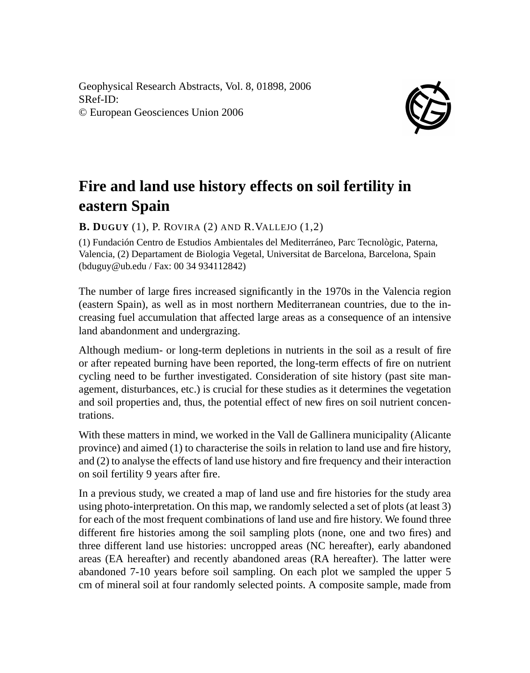Geophysical Research Abstracts, Vol. 8, 01898, 2006 SRef-ID: © European Geosciences Union 2006



## **Fire and land use history effects on soil fertility in eastern Spain**

**B. DUGUY** (1), P. ROVIRA (2) AND R.VALLEJO (1,2)

(1) Fundación Centro de Estudios Ambientales del Mediterráneo, Parc Tecnològic, Paterna, Valencia, (2) Departament de Biologia Vegetal, Universitat de Barcelona, Barcelona, Spain (bduguy@ub.edu / Fax: 00 34 934112842)

The number of large fires increased significantly in the 1970s in the Valencia region (eastern Spain), as well as in most northern Mediterranean countries, due to the increasing fuel accumulation that affected large areas as a consequence of an intensive land abandonment and undergrazing.

Although medium- or long-term depletions in nutrients in the soil as a result of fire or after repeated burning have been reported, the long-term effects of fire on nutrient cycling need to be further investigated. Consideration of site history (past site management, disturbances, etc.) is crucial for these studies as it determines the vegetation and soil properties and, thus, the potential effect of new fires on soil nutrient concentrations.

With these matters in mind, we worked in the Vall de Gallinera municipality (Alicante province) and aimed (1) to characterise the soils in relation to land use and fire history, and (2) to analyse the effects of land use history and fire frequency and their interaction on soil fertility 9 years after fire.

In a previous study, we created a map of land use and fire histories for the study area using photo-interpretation. On this map, we randomly selected a set of plots (at least 3) for each of the most frequent combinations of land use and fire history. We found three different fire histories among the soil sampling plots (none, one and two fires) and three different land use histories: uncropped areas (NC hereafter), early abandoned areas (EA hereafter) and recently abandoned areas (RA hereafter). The latter were abandoned 7-10 years before soil sampling. On each plot we sampled the upper 5 cm of mineral soil at four randomly selected points. A composite sample, made from